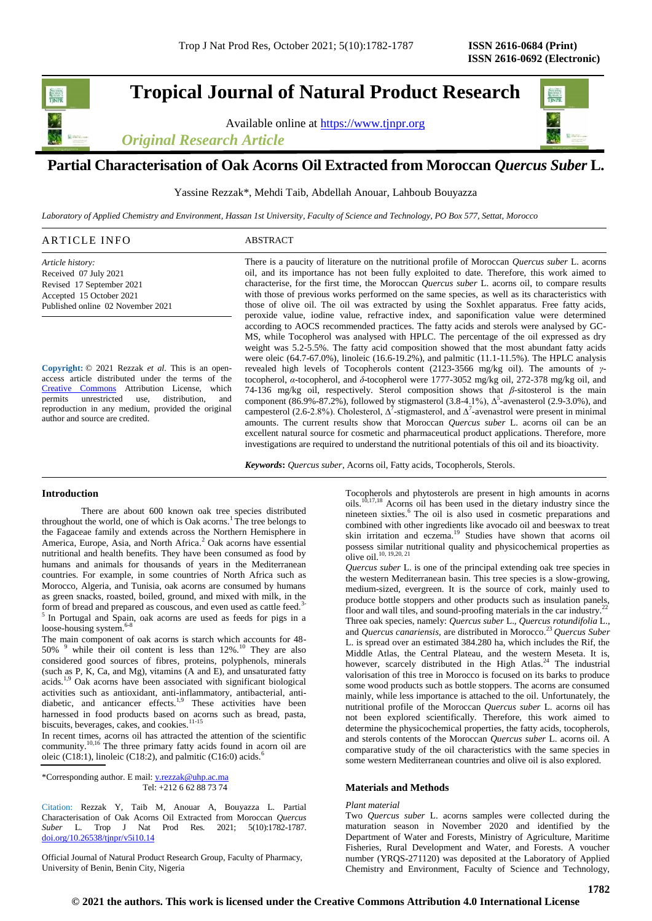# **Tropical Journal of Natural Product Research**

Available online at [https://www.tjnpr.org](https://www.tjnpr.org/)

*Original Research Article*



## **Partial Characterisation of Oak Acorns Oil Extracted from Moroccan** *Quercus Suber* **L.**

Yassine Rezzak\*, Mehdi Taib, Abdellah Anouar, Lahboub Bouyazza

*Laboratory of Applied Chemistry and Environment, Hassan 1st University, Faculty of Science and Technology, PO Box 577, Settat, Morocco*

## ARTICLE INFO ABSTRACT

*Article history:* Received 07 July 2021 Revised 17 September 2021 Accepted 15 October 2021 Published online 02 November 2021

**Copyright:** © 2021 Rezzak *et al*. This is an openaccess article distributed under the terms of the [Creative Commons](https://creativecommons.org/licenses/by/4.0/) Attribution License, which permits unrestricted use, distribution, and reproduction in any medium, provided the original author and source are credited.

There is a paucity of literature on the nutritional profile of Moroccan *Quercus suber* L. acorns oil, and its importance has not been fully exploited to date. Therefore, this work aimed to characterise, for the first time, the Moroccan *Quercus suber* L. acorns oil, to compare results with those of previous works performed on the same species, as well as its characteristics with those of olive oil. The oil was extracted by using the Soxhlet apparatus. Free fatty acids, peroxide value, iodine value, refractive index, and saponification value were determined according to AOCS recommended practices. The fatty acids and sterols were analysed by GC-MS, while Tocopherol was analysed with HPLC. The percentage of the oil expressed as dry weight was 5.2-5.5%. The fatty acid composition showed that the most abundant fatty acids were oleic (64.7-67.0%), linoleic (16.6-19.2%), and palmitic (11.1-11.5%). The HPLC analysis revealed high levels of Tocopherols content (2123-3566 mg/kg oil). The amounts of *γ*tocopherol, *α*-tocopherol, and *δ*-tocopherol were 1777-3052 mg/kg oil, 272-378 mg/kg oil, and 74-136 mg/kg oil, respectively. Sterol composition shows that *β*-sitosterol is the main component (86.9%-87.2%), followed by stigmasterol (3.8-4.1%),  $\Delta^5$ -avenasterol (2.9-3.0%), and campesterol (2.6-2.8%). Cholesterol,  $\Delta^7$ -stigmasterol, and  $\Delta^7$ -avenastrol were present in minimal amounts. The current results show that Moroccan *Quercus suber* L. acorns oil can be an excellent natural source for cosmetic and pharmaceutical product applications. Therefore, more investigations are required to understand the nutritional potentials of this oil and its bioactivity.

*Keywords***:** *Quercus suber*, Acorns oil, Fatty acids, Tocopherols, Sterols.

## **Introduction**

There are about 600 known oak tree species distributed throughout the world, one of which is Oak acorns.<sup>1</sup> The tree belongs to the Fagaceae family and extends across the Northern Hemisphere in America, Europe, Asia, and North Africa.<sup>2</sup> Oak acorns have essential nutritional and health benefits. They have been consumed as food by humans and animals for thousands of years in the Mediterranean countries. For example, in some countries of North Africa such as Morocco, Algeria, and Tunisia, oak acorns are consumed by humans as green snacks, roasted, boiled, ground, and mixed with milk, in the form of bread and prepared as couscous, and even used as cattle feed.<sup>3-1</sup> <sup>5</sup> In Portugal and Spain, oak acorns are used as feeds for pigs in a loose-housing system.<sup>6-8</sup>

The main component of oak acorns is starch which accounts for 48- 50% <sup>9</sup> while their oil content is less than 12%.<sup>10</sup> They are also considered good sources of fibres, proteins, polyphenols, minerals (such as P, K, Ca, and Mg), vitamins (A and E), and unsaturated fatty acids.1,9 Oak acorns have been associated with significant biological activities such as antioxidant, anti-inflammatory, antibacterial, antidiabetic, and anticancer effects.<sup>1,9</sup> These activities have been harnessed in food products based on acorns such as bread, pasta, biscuits, beverages, cakes, and cookies.<sup>11-15</sup>

In recent times, acorns oil has attracted the attention of the scientific community.<sup>10,16</sup> The three primary fatty acids found in acorn oil are oleic (C18:1), linoleic (C18:2), and palmitic (C16:0) acids.<sup>6</sup>

\*Corresponding author. E mail[: y.rezzak@uhp.ac.ma](mailto:y.rezzak@uhp.ac.ma) Tel: +212 6 62 88 73 74

Citation: Rezzak Y, Taib M, Anouar A, Bouyazza L. Partial Characterisation of Oak Acorns Oil Extracted from Moroccan *Quercus Suber* L. Trop J Nat Prod Res. 2021; 5(10):1782-1787. [doi.org/10.26538/tjnpr/v5i10.1](http://www.doi.org/10.26538/tjnpr/v1i4.5)4

Official Journal of Natural Product Research Group, Faculty of Pharmacy, University of Benin, Benin City, Nigeria

Tocopherols and phytosterols are present in high amounts in acorns oils.10,17,18 Acorns oil has been used in the dietary industry since the nineteen sixties.<sup>6</sup> The oil is also used in cosmetic preparations and combined with other ingredients like avocado oil and beeswax to treat skin irritation and eczema.<sup>19</sup> Studies have shown that acorns oil possess similar nutritional quality and physicochemical properties as olive oil.10, 19,20, 21

*Quercus suber* L. is one of the principal extending oak tree species in the western Mediterranean basin. This tree species is a slow-growing, medium-sized, evergreen. It is the source of cork, mainly used to produce bottle stoppers and other products such as insulation panels, floor and wall tiles, and sound-proofing materials in the car industry.<sup>22</sup> Three oak species, namely: *Quercus suber* L., *Quercus rotundifolia* L., and *Quercus canariensis,* are distributed in Morocco. <sup>23</sup>*Quercus Suber*  L. is spread over an estimated 384.280 ha, which includes the Rif, the Middle Atlas, the Central Plateau, and the western Meseta. It is, however, scarcely distributed in the High Atlas.<sup>24</sup> The industrial valorisation of this tree in Morocco is focused on its barks to produce some wood products such as bottle stoppers. The acorns are consumed mainly, while less importance is attached to the oil. Unfortunately, the nutritional profile of the Moroccan *Quercus suber* L. acorns oil has not been explored scientifically. Therefore, this work aimed to determine the physicochemical properties, the fatty acids, tocopherols, and sterols contents of the Moroccan *Quercus suber* L. acorns oil. A comparative study of the oil characteristics with the same species in some western Mediterranean countries and olive oil is also explored.

## **Materials and Methods**

#### *Plant material*

Two *Quercus suber* L. acorns samples were collected during the maturation season in November 2020 and identified by the Department of Water and Forests, Ministry of Agriculture, Maritime Fisheries, Rural Development and Water, and Forests. A voucher number (YRQS-271120) was deposited at the Laboratory of Applied Chemistry and Environment, Faculty of Science and Technology,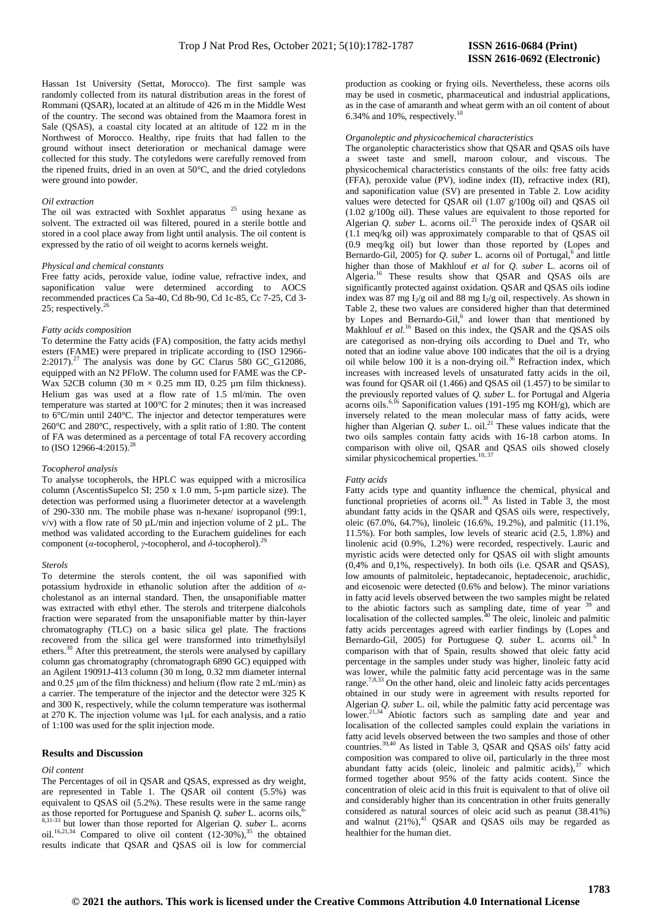Hassan 1st University (Settat, Morocco). The first sample was randomly collected from its natural distribution areas in the forest of Rommani (QSAR), located at an altitude of 426 m in the Middle West of the country. The second was obtained from the Maamora forest in Sale (QSAS), a coastal city located at an altitude of 122 m in the Northwest of Morocco. Healthy, ripe fruits that had fallen to the ground without insect deterioration or mechanical damage were collected for this study. The cotyledons were carefully removed from the ripened fruits, dried in an oven at 50°C, and the dried cotyledons were ground into powder.

### *Oil extraction*

The oil was extracted with Soxhlet apparatus <sup>25</sup> using hexane as solvent. The extracted oil was filtered, poured in a sterile bottle and stored in a cool place away from light until analysis. The oil content is expressed by the ratio of oil weight to acorns kernels weight.

#### *Physical and chemical constants*

Free fatty acids, peroxide value, iodine value, refractive index, and saponification value were determined according to AOCS recommended practices Ca 5a-40, Cd 8b-90, Cd 1c-85, Cc 7-25, Cd 3- 25; respectively. $^{26}$ 

#### *Fatty acids composition*

To determine the Fatty acids (FA) composition, the fatty acids methyl esters (FAME) were prepared in triplicate according to (ISO 12966- 2:2017).<sup>27</sup> The analysis was done by GC Clarus 580 GC\_G12086, equipped with an N2 PFloW. The column used for FAME was the CP-Wax 52CB column (30 m  $\times$  0.25 mm ID, 0.25 µm film thickness). Helium gas was used at a flow rate of 1.5 ml/min. The oven temperature was started at 100°C for 2 minutes; then it was increased to 6°C/min until 240°C. The injector and detector temperatures were 260°C and 280°C, respectively, with a split ratio of 1:80. The content of FA was determined as a percentage of total FA recovery according<br>to (ISO 12066 4:2015) <sup>28</sup> to (ISO 12966-4:2015).

#### *Tocopherol analysis*

To analyse tocopherols, the HPLC was equipped with a microsilica column (AscentisSupelco SI; 250 x 1.0 mm, 5-µm particle size). The detection was performed using a fluorimeter detector at a wavelength of 290-330 nm. The mobile phase was n-hexane/ isopropanol (99:1,  $v/v$ ) with a flow rate of 50  $\mu$ L/min and injection volume of 2  $\mu$ L. The method was validated according to the Eurachem guidelines for each component (*α*-tocopherol, *γ*-tocopherol, and *δ*-tocopherol).<sup>29</sup>

#### *Sterols*

To determine the sterols content, the oil was saponified with potassium hydroxide in ethanolic solution after the addition of *α*cholestanol as an internal standard. Then, the unsaponifiable matter was extracted with ethyl ether. The sterols and triterpene dialcohols fraction were separated from the unsaponifiable matter by thin-layer chromatography (TLC) on a basic silica gel plate. The fractions recovered from the silica gel were transformed into trimethylsilyl ethers.<sup>30</sup> After this pretreatment, the sterols were analysed by capillary column gas chromatography (chromatograph 6890 GC) equipped with an Agilent 19091J-413 column (30 m long, 0.32 mm diameter internal and  $0.25 \mu m$  of the film thickness) and helium (flow rate 2 mL/min) as a carrier. The temperature of the injector and the detector were 325 K and 300 K, respectively, while the column temperature was isothermal at 270 K. The injection volume was 1μL for each analysis, and a ratio of 1:100 was used for the split injection mode.

#### **Results and Discussion**

#### *Oil content*

The Percentages of oil in QSAR and QSAS, expressed as dry weight, are represented in Table 1. The QSAR oil content (5.5%) was equivalent to QSAS oil (5.2%). These results were in the same range as those reported for Portuguese and Spanish *Q. suber* L. acorns oils,6- 8,31-33 but lower than those reported for Algerian *Q. suber* L. acorns oil.<sup>16,21,34</sup> Compared to olive oil content  $(12-30\%)$ ,<sup>35</sup> the obtained results indicate that QSAR and QSAS oil is low for commercial production as cooking or frying oils. Nevertheless, these acorns oils may be used in cosmetic, pharmaceutical and industrial applications, as in the case of amaranth and wheat germ with an oil content of about 6.34% and 10%, respectively. $10$ 

## *Organoleptic and physicochemical characteristics*

The organoleptic characteristics show that QSAR and QSAS oils have a sweet taste and smell, maroon colour, and viscous. The physicochemical characteristics constants of the oils: free fatty acids (FFA), peroxide value (PV), iodine index (II), refractive index (RI), and saponification value (SV) are presented in Table 2. Low acidity values were detected for QSAR oil (1.07 g/100g oil) and QSAS oil (1.02 g/100g oil). These values are equivalent to those reported for Algerian *Q. suber* L. acorns oil.<sup>21</sup> The peroxide index of QSAR oil (1.1 meq/kg oil) was approximately comparable to that of QSAS oil (0.9 meq/kg oil) but lower than those reported by (Lopes and Bernardo-Gil, 2005) for *Q. suber* L. acorns oil of Portugal,<sup>6</sup> and little higher than those of Makhlouf *et al* for *Q. suber* L. acorns oil of Algeria.<sup>16</sup> These results show that QSAR and QSAS oils are significantly protected against oxidation. QSAR and QSAS oils iodine index was  $87 \text{ mg } I_2/\text{g}$  oil and  $88 \text{ mg } I_2/\text{g}$  oil, respectively. As shown in Table 2, these two values are considered higher than that determined by Lopes and Bernardo-Gil,<sup>6</sup> and lower than that mentioned by Makhlouf *et al.*<sup>16</sup> Based on this index, the QSAR and the QSAS oils are categorised as non-drying oils according to Duel and Tr, who noted that an iodine value above 100 indicates that the oil is a drying oil while below 100 it is a non-drying oil.<sup>36</sup> Refraction index, which increases with increased levels of unsaturated fatty acids in the oil, was found for QSAR oil (1.466) and QSAS oil (1.457) to be similar to the previously reported values of *Q. suber* L. for Portugal and Algeria acorns oils.<sup>6,16</sup> Saponification values (191-195 mg KOH/g), which are inversely related to the mean molecular mass of fatty acids, were higher than Algerian *Q. suber* L. oil.<sup>21</sup> These values indicate that the two oils samples contain fatty acids with 16-18 carbon atoms. In comparison with olive oil, QSAR and QSAS oils showed closely similar physicochemical properties.<sup>10, 37</sup>

#### *Fatty acids*

Fatty acids type and quantity influence the chemical, physical and functional proprieties of acorns oil.<sup>38</sup> As listed in Table 3, the most abundant fatty acids in the QSAR and QSAS oils were, respectively, oleic (67.0%, 64.7%), linoleic (16.6%, 19.2%), and palmitic (11.1%, 11.5%). For both samples, low levels of stearic acid (2.5, 1.8%) and linolenic acid (0.9%, 1.2%) were recorded, respectively. Lauric and myristic acids were detected only for QSAS oil with slight amounts (0,4% and 0,1%, respectively). In both oils (i.e. QSAR and QSAS), low amounts of palmitoleic, heptadecanoic, heptadecenoic, arachidic, and eicosenoic were detected (0.6% and below). The minor variations in fatty acid levels observed between the two samples might be related to the abiotic factors such as sampling date, time of year <sup>39</sup> and localisation of the collected samples. $40$  The oleic, linoleic and palmitic fatty acids percentages agreed with earlier findings by (Lopes and Bernardo-Gil, 2005) for Portuguese *Q. suber* L. acorns oil.<sup>6</sup> In comparison with that of Spain, results showed that oleic fatty acid percentage in the samples under study was higher, linoleic fatty acid was lower, while the palmitic fatty acid percentage was in the same range.<sup>7,8,33</sup> On the other hand, oleic and linoleic fatty acids percentages obtained in our study were in agreement with results reported for Algerian *Q. suber* L. oil, while the palmitic fatty acid percentage was lower.<sup>21,34</sup> Abiotic factors such as sampling date and year and localisation of the collected samples could explain the variations in fatty acid levels observed between the two samples and those of other countries.<sup>39,40</sup> As listed in Table 3, QSAR and QSAS oils' fatty acid composition was compared to olive oil, particularly in the three most abundant fatty acids (oleic, linoleic and palmitic acids), $37$  which formed together about 95% of the fatty acids content. Since the concentration of oleic acid in this fruit is equivalent to that of olive oil and considerably higher than its concentration in other fruits generally considered as natural sources of oleic acid such as peanut (38.41%) and walnut  $(21\%)$ ,<sup>41</sup> QSAR and QSAS oils may be regarded as healthier for the human diet.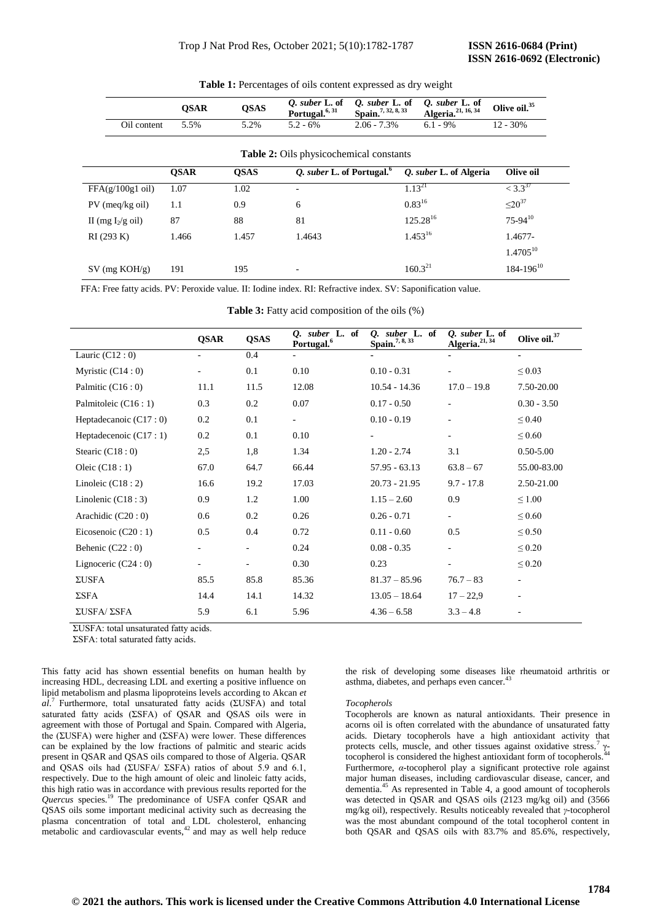|                     | <b>OSAR</b> | <b>OSAS</b> | Q. suber L. of<br>Portugal. <sup>6, 31</sup> | Q. suber L. of<br>Spain. <sup>7, 32, 8, 33</sup> | Q. suber L. of<br>Algeria. <sup>21, 16, 34</sup> | Olive oil. <sup>35</sup> |
|---------------------|-------------|-------------|----------------------------------------------|--------------------------------------------------|--------------------------------------------------|--------------------------|
| Oil content         | 5.5%        | 5.2%        | $5.2 - 6%$                                   | $2.06 - 7.3\%$                                   | $6.1 - 9\%$                                      | $12 - 30\%$              |
|                     |             |             | Table 2: Oils physicochemical constants      |                                                  |                                                  |                          |
|                     | <b>OSAR</b> | <b>OSAS</b> | Q. suber L. of Portugal. <sup>6</sup>        |                                                  | O. suber L. of Algeria                           | Olive oil                |
| $FFA(g/100g1$ oil)  | 1.07        | 1.02        | -                                            |                                                  | $1.13^{21}$                                      | $<$ 3.3 <sup>37</sup>    |
| $PV$ (meq/kg oil)   | 1.1         | 0.9         | 6                                            |                                                  | $0.83^{16}$                                      | $\leq 20^{37}$           |
| II (mg $I_2/g$ oil) | 87          | 88          | 81                                           |                                                  | $125.28^{16}$                                    | $75 - 94^{10}$           |
| RI(293 K)           | 1.466       | 1.457       | 1.4643                                       |                                                  | $1.453^{16}$                                     | 1.4677-                  |
|                     |             |             |                                              |                                                  |                                                  | $1.4705^{10}$            |
| $SV$ (mg $KOH/g$ )  | 191         | 195         | ۰                                            |                                                  | $160.3^{21}$                                     | $184 - 196^{10}$         |

**Table 1:** Percentages of oils content expressed as dry weight

FFA: Free fatty acids. PV: Peroxide value. II: Iodine index. RI: Refractive index. SV: Saponification value.

**Table 3:** Fatty acid composition of the oils (%)

|                         | <b>QSAR</b>              | <b>QSAS</b>              | suber L. of<br>О.<br>Portugal. <sup>6</sup> | suber L. of<br>Q.<br>Spain. <sup>7, 8, 33</sup> | Q. suber L. of<br>Algeria. <sup>21, 34</sup> | Olive oil. <sup>37</sup> |
|-------------------------|--------------------------|--------------------------|---------------------------------------------|-------------------------------------------------|----------------------------------------------|--------------------------|
| Lauric $(C12:0)$        | $\overline{\phantom{a}}$ | 0.4                      | $\overline{\phantom{a}}$                    |                                                 | $\blacksquare$                               | $\blacksquare$           |
| Myristic $(C14:0)$      | $\overline{\phantom{a}}$ | 0.1                      | 0.10                                        | $0.10 - 0.31$                                   |                                              | $\leq 0.03$              |
| Palmitic $(C16:0)$      | 11.1                     | 11.5                     | 12.08                                       | $10.54 - 14.36$                                 | $17.0 - 19.8$                                | 7.50-20.00               |
| Palmitoleic (C16 : 1)   | 0.3                      | 0.2                      | 0.07                                        | $0.17 - 0.50$                                   | $\overline{\phantom{a}}$                     | $0.30 - 3.50$            |
| Heptadecanoic $(C17:0)$ | 0.2                      | 0.1                      | $\overline{\phantom{a}}$                    | $0.10 - 0.19$                                   |                                              | $\leq 0.40$              |
| Heptadecenoic (C17:1)   | 0.2                      | 0.1                      | 0.10                                        |                                                 | ٠                                            | $\leq 0.60$              |
| Stearic $(C18:0)$       | 2,5                      | 1,8                      | 1.34                                        | $1.20 - 2.74$                                   | 3.1                                          | $0.50 - 5.00$            |
| Oleic $(C18:1)$         | 67.0                     | 64.7                     | 66.44                                       | $57.95 - 63.13$                                 | $63.8 - 67$                                  | 55.00-83.00              |
| Linoleic $(C18:2)$      | 16.6                     | 19.2                     | 17.03                                       | $20.73 - 21.95$                                 | $9.7 - 17.8$                                 | 2.50-21.00               |
| Linolenic $(C18:3)$     | 0.9                      | 1.2                      | 1.00                                        | $1.15 - 2.60$                                   | 0.9                                          | $\leq 1.00$              |
| Arachidic $(C20:0)$     | 0.6                      | 0.2                      | 0.26                                        | $0.26 - 0.71$                                   | $\sim$                                       | $\leq 0.60$              |
| Eicosenoic $(C20:1)$    | 0.5                      | 0.4                      | 0.72                                        | $0.11 - 0.60$                                   | 0.5                                          | $\leq 0.50$              |
| Behenic $(C22:0)$       | $\overline{\phantom{0}}$ | $\overline{\phantom{a}}$ | 0.24                                        | $0.08 - 0.35$                                   |                                              | $\leq 0.20$              |
| Lignoceric $(C24:0)$    | $\overline{\phantom{0}}$ | $\overline{\phantom{a}}$ | 0.30                                        | 0.23                                            | $\overline{\phantom{a}}$                     | $\leq 0.20$              |
| ΣUSFA                   | 85.5                     | 85.8                     | 85.36                                       | $81.37 - 85.96$                                 | $76.7 - 83$                                  | $\overline{\phantom{a}}$ |
| $\Sigma$ SFA            | 14.4                     | 14.1                     | 14.32                                       | $13.05 - 18.64$                                 | $17 - 22.9$                                  | $\overline{\phantom{a}}$ |
| ΣUSFA/ ΣSFA             | 5.9                      | 6.1                      | 5.96                                        | $4.36 - 6.58$                                   | $3.3 - 4.8$                                  | $\overline{\phantom{a}}$ |
|                         |                          |                          |                                             |                                                 |                                              |                          |

ΣUSFA: total unsaturated fatty acids.

ΣSFA: total saturated fatty acids.

This fatty acid has shown essential benefits on human health by increasing HDL, decreasing LDL and exerting a positive influence on lipid metabolism and plasma lipoproteins levels according to Akcan *et al*. <sup>7</sup>Furthermore, total unsaturated fatty acids (ΣUSFA) and total saturated fatty acids (ΣSFA) of QSAR and QSAS oils were in agreement with those of Portugal and Spain. Compared with Algeria, the (ΣUSFA) were higher and (ΣSFA) were lower. These differences can be explained by the low fractions of palmitic and stearic acids present in QSAR and QSAS oils compared to those of Algeria. QSAR and QSAS oils had (ΣUSFA/ ΣSFA) ratios of about 5.9 and 6.1, respectively. Due to the high amount of oleic and linoleic fatty acids, this high ratio was in accordance with previous results reported for the *Quercus* species.<sup>19</sup> The predominance of USFA confer QSAR and QSAS oils some important medicinal activity such as decreasing the plasma concentration of total and LDL cholesterol, enhancing metabolic and cardiovascular events,<sup>42</sup> and may as well help reduce

the risk of developing some diseases like rheumatoid arthritis or asthma, diabetes, and perhaps even cancer.<sup>4</sup>

#### *Tocopherols*

Tocopherols are known as natural antioxidants. Their presence in acorns oil is often correlated with the abundance of unsaturated fatty acids. Dietary tocopherols have a high antioxidant activity that protects cells, muscle, and other tissues against oxidative stress.<sup>7</sup> γtocopherol is considered the highest antioxidant form of tocopherols.<sup>4</sup> Furthermore, *α*-tocopherol play a significant protective role against major human diseases, including cardiovascular disease, cancer, and dementia.<sup>45</sup> As represented in Table 4, a good amount of tocopherols was detected in QSAR and QSAS oils (2123 mg/kg oil) and (3566 mg/kg oil), respectively. Results noticeably revealed that *γ*-tocopherol was the most abundant compound of the total tocopherol content in both QSAR and QSAS oils with 83.7% and 85.6%, respectively,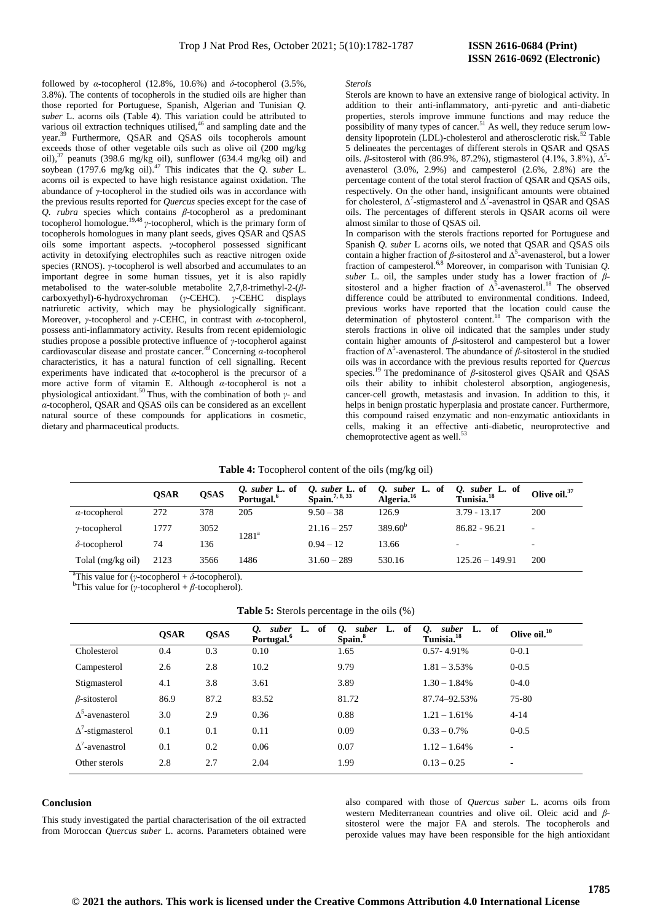followed by *α*-tocopherol (12.8%, 10.6%) and  $\delta$ -tocopherol (3.5%, 3.8%). The contents of tocopherols in the studied oils are higher than those reported for Portuguese, Spanish, Algerian and Tunisian *Q. suber* L. acorns oils (Table 4). This variation could be attributed to various oil extraction techniques utilised,<sup>46</sup> and sampling date and the year.<sup>39</sup> Furthermore, QSAR and QSAS oils tocopherols amount exceeds those of other vegetable oils such as olive oil (200 mg/kg oil), $37$  peanuts (398.6 mg/kg oil), sunflower (634.4 mg/kg oil) and soybean  $(1797.6 \text{ mg/kg} \text{ oil})$ .<sup>47</sup> This indicates that the *Q. suber* L. acorns oil is expected to have high resistance against oxidation. The abundance of *γ*-tocopherol in the studied oils was in accordance with the previous results reported for *Quercus* species except for the case of *Q. rubra* species which contains *β*-tocopherol as a predominant tocopherol homologue.<sup>19,48</sup>  $\gamma$ -tocopherol, which is the primary form of tocopherols homologues in many plant seeds, gives QSAR and QSAS oils some important aspects. *γ*-tocopherol possessed significant activity in detoxifying electrophiles such as reactive nitrogen oxide species (RNOS). *γ*-tocopherol is well absorbed and accumulates to an important degree in some human tissues, yet it is also rapidly metabolised to the water-soluble metabolite 2,7,8-trimethyl-2-(*β*carboxyethyl)-6-hydroxychroman (*γ*-CEHC). *γ*-CEHC displays natriuretic activity, which may be physiologically significant. Moreover, *γ*-tocopherol and *γ*-CEHC, in contrast with *α*-tocopherol, possess anti-inflammatory activity. Results from recent epidemiologic studies propose a possible protective influence of *γ*-tocopherol against cardiovascular disease and prostate cancer.<sup>49</sup>Concerning *α*-tocopherol characteristics, it has a natural function of cell signalling. Recent experiments have indicated that *α*-tocopherol is the precursor of a more active form of vitamin E. Although *α*-tocopherol is not a physiological antioxidant.<sup>50</sup>Thus, with the combination of both *γ*- and *α*-tocopherol, QSAR and QSAS oils can be considered as an excellent natural source of these compounds for applications in cosmetic, dietary and pharmaceutical products.

#### *Sterols*

Sterols are known to have an extensive range of biological activity. In addition to their anti-inflammatory, anti-pyretic and anti-diabetic properties, sterols improve immune functions and may reduce the possibility of many types of cancer.<sup>51</sup> As well, they reduce serum lowdensity lipoprotein (LDL)-cholesterol and atherosclerotic risk.<sup>52</sup> Table 5 delineates the percentages of different sterols in QSAR and QSAS oils. β-sitosterol with (86.9%, 87.2%), stigmasterol  $(4.1\%, 3.8\%, \Delta^5)$ avenasterol (3.0%, 2.9%) and campesterol (2.6%, 2.8%) are the percentage content of the total sterol fraction of QSAR and QSAS oils, respectively. On the other hand, insignificant amounts were obtained for cholesterol,  $\Delta^7$ -stigmasterol and  $\Delta^7$ -avenastrol in QSAR and QSAS oils. The percentages of different sterols in QSAR acorns oil were almost similar to those of QSAS oil.

In comparison with the sterols fractions reported for Portuguese and Spanish *Q. suber* L acorns oils, we noted that QSAR and QSAS oils contain a higher fraction of  $\beta$ -sitosterol and  $\Delta^5$ -avenasterol, but a lower fraction of campesterol.6,8 Moreover, in comparison with Tunisian *Q. suber* L. oil, the samples under study has a lower fraction of *β*sitosterol and a higher fraction of  $\Delta^5$ -avenasterol.<sup>18</sup> The observed difference could be attributed to environmental conditions. Indeed, previous works have reported that the location could cause the determination of phytosterol content.<sup>18</sup> The comparison with the sterols fractions in olive oil indicated that the samples under study contain higher amounts of *β*-sitosterol and campesterol but a lower fraction of Δ<sup>5</sup>-avenasterol. The abundance of *β*-sitosterol in the studied oils was in accordance with the previous results reported for *Quercus* species.<sup>19</sup> The predominance of  $\beta$ -sitosterol gives QSAR and QSAS oils their ability to inhibit cholesterol absorption, angiogenesis, cancer-cell growth, metastasis and invasion. In addition to this, it helps in benign prostatic hyperplasia and prostate cancer. Furthermore, this compound raised enzymatic and non-enzymatic antioxidants in cells, making it an effective anti-diabetic, neuroprotective and chemoprotective agent as well.<sup>53</sup>

|  | Table 4: Tocopherol content of the oils (mg/kg oil) |
|--|-----------------------------------------------------|
|--|-----------------------------------------------------|

|                      | <b>OSAR</b> | <b>QSAS</b> | Q. suber $L$ . of<br>Portugal. <sup>6</sup> | Q. suber L. of<br>Spain. <sup>7, 8, 33</sup> | Q. suber L. of<br>Algeria. <sup>16</sup> | Q. suber L. of<br>Tunisia. <sup>18</sup> | Olive oil. <sup>37</sup> |
|----------------------|-------------|-------------|---------------------------------------------|----------------------------------------------|------------------------------------------|------------------------------------------|--------------------------|
| $\alpha$ -tocopherol | 272         | 378         | 205                                         | $9.50 - 38$                                  | 126.9                                    | $3.79 - 13.17$                           | 200                      |
| $\gamma$ -tocopherol | 1777        | 3052        | $1281^{\mathrm{a}}$                         | $21.16 - 257$                                | $389.60^{b}$                             | $86.82 - 96.21$                          | $\sim$                   |
| $\delta$ -tocopherol | 74          | 136         |                                             | $0.94 - 12$                                  | 13.66                                    | $\overline{\phantom{0}}$                 | $\overline{\phantom{0}}$ |
| Tolal (mg/kg oil)    | 2123        | 3566        | 1486                                        | $31.60 - 289$                                | 530.16                                   | $125.26 - 149.91$                        | 200                      |

<sup>a</sup>This value for (*γ*-tocopherol +  $\delta$ -tocopherol).

<sup>b</sup>This value for (*γ*-tocopherol + *β*-tocopherol).

| <b>Table 5:</b> Sterols percentage in the oils (%) |  |  |  |
|----------------------------------------------------|--|--|--|
|----------------------------------------------------|--|--|--|

|                          | <b>OSAR</b> | <b>QSAS</b> | suber<br>-of<br>Ų.<br>L.<br>Portugal. <sup>6</sup> | -of<br>suber<br>Ų.<br>L.<br>Spain. <sup>8</sup> | of<br>suber<br>L.<br>Ų.<br>Tunisia. <sup>18</sup> | Olive oil. <sup>10</sup> |
|--------------------------|-------------|-------------|----------------------------------------------------|-------------------------------------------------|---------------------------------------------------|--------------------------|
| Cholesterol              | 0.4         | 0.3         | 0.10                                               | 1.65                                            | $0.57 - 4.91\%$                                   | $0 - 0.1$                |
| Campesterol              | 2.6         | 2.8         | 10.2                                               | 9.79                                            | $1.81 - 3.53\%$                                   | $0 - 0.5$                |
| Stigmasterol             | 4.1         | 3.8         | 3.61                                               | 3.89                                            | $1.30 - 1.84\%$                                   | $0-4.0$                  |
| $\beta$ -sitosterol      | 86.9        | 87.2        | 83.52                                              | 81.72                                           | 87.74-92.53%                                      | 75-80                    |
| $\Delta^3$ -avenasterol  | 3.0         | 2.9         | 0.36                                               | 0.88                                            | $1.21 - 1.61\%$                                   | $4 - 14$                 |
| $\Delta^7$ -stigmasterol | 0.1         | 0.1         | 0.11                                               | 0.09                                            | $0.33 - 0.7\%$                                    | $0 - 0.5$                |
| $\Lambda'$ -avenastrol   | 0.1         | 0.2         | 0.06                                               | 0.07                                            | $1.12 - 1.64\%$                                   | ٠                        |
| Other sterols            | 2.8         | 2.7         | 2.04                                               | 1.99                                            | $0.13 - 0.25$                                     | ٠                        |

#### **Conclusion**

This study investigated the partial characterisation of the oil extracted from Moroccan *Quercus suber* L. acorns. Parameters obtained were

also compared with those of *Quercus suber* L. acorns oils from western Mediterranean countries and olive oil. Oleic acid and *β*sitosterol were the major FA and sterols. The tocopherols and peroxide values may have been responsible for the high antioxidant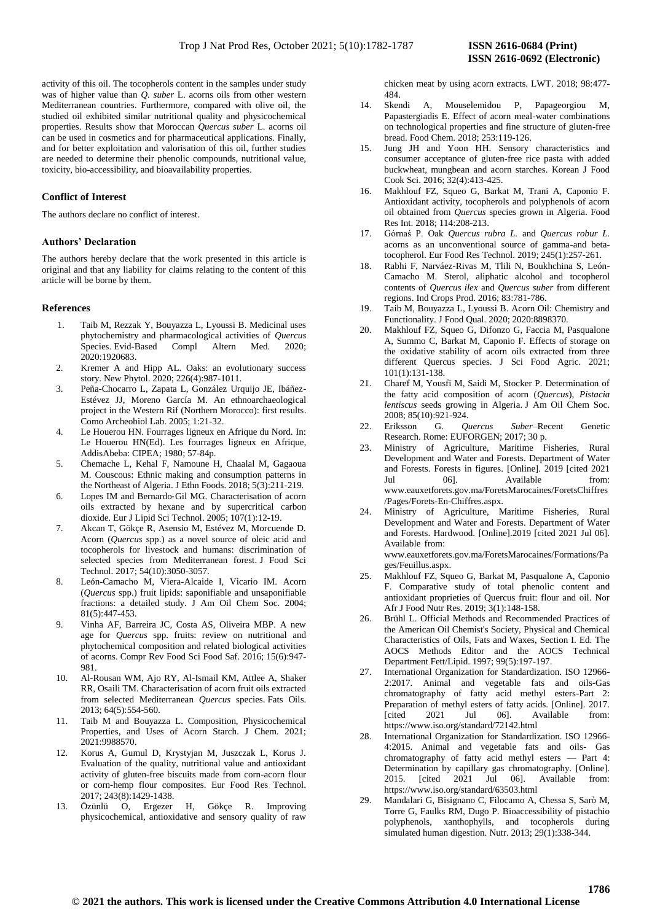activity of this oil. The tocopherols content in the samples under study was of higher value than *Q. suber* L. acorns oils from other western Mediterranean countries. Furthermore, compared with olive oil, the studied oil exhibited similar nutritional quality and physicochemical properties. Results show that Moroccan *Quercus suber* L. acorns oil can be used in cosmetics and for pharmaceutical applications. Finally, and for better exploitation and valorisation of this oil, further studies are needed to determine their phenolic compounds, nutritional value, toxicity, bio-accessibility, and bioavailability properties.

## **Conflict of Interest**

The authors declare no conflict of interest.

## **Authors' Declaration**

The authors hereby declare that the work presented in this article is original and that any liability for claims relating to the content of this article will be borne by them.

## **References**

- 1. Taib M, Rezzak Y, Bouyazza L, Lyoussi B. Medicinal uses phytochemistry and pharmacological activities of *Quercus* Species. Evid-Based Compl Altern Med. 2020; 2020:1920683.
- 2. Kremer A and Hipp AL. Oaks: an evolutionary success story. New Phytol. 2020; 226(4):987-1011.
- 3. Peña-Chocarro L, Zapata L, González Urquijo JE, Ibáñez-Estévez JJ, Moreno García M. An ethnoarchaeological project in the Western Rif (Northern Morocco): first results. Como Archeobiol Lab. 2005; 1:21-32.
- 4. Le Houerou HN. Fourrages ligneux en Afrique du Nord. In: Le Houerou HN(Ed). Les fourrages ligneux en Afrique, AddisAbeba: CIPEA; 1980; 57-84p.
- 5. Chemache L, Kehal F, Namoune H, Chaalal M, Gagaoua M. Couscous: Ethnic making and consumption patterns in the Northeast of Algeria. J Ethn Foods. 2018; 5(3):211-219.
- 6. Lopes IM and Bernardo‐Gil MG. Characterisation of acorn oils extracted by hexane and by supercritical carbon dioxide. Eur J Lipid Sci Technol. 2005; 107(1):12-19.
- 7. Akcan T, Gökçe R, Asensio M, Estévez M, Morcuende D. Acorn (*Quercus* spp.) as a novel source of oleic acid and tocopherols for livestock and humans: discrimination of selected species from Mediterranean forest. J Food Sci Technol. 2017; 54(10):3050-3057.
- 8. León-Camacho M, Viera-Alcaide I, Vicario IM. Acorn (*Quercus* spp.) fruit lipids: saponifiable and unsaponifiable fractions: a detailed study. J Am Oil Chem Soc. 2004; 81(5):447-453.
- 9. Vinha AF, Barreira JC, Costa AS, Oliveira MBP. A new age for *Quercus* spp. fruits: review on nutritional and phytochemical composition and related biological activities of acorns. Compr Rev Food Sci Food Saf. 2016; 15(6):947- 981.
- 10. Al-Rousan WM, Ajo RY, Al-Ismail KM, Attlee A, Shaker RR, Osaili TM. Characterisation of acorn fruit oils extracted from selected Mediterranean *Quercus* species. Fats Oils. 2013; 64(5):554-560.
- Taib M and Bouyazza L. Composition, Physicochemical Properties, and Uses of Acorn Starch. J Chem. 2021; 2021:9988570.
- 12. Korus A, Gumul D, Krystyjan M, Juszczak L, Korus J. Evaluation of the quality, nutritional value and antioxidant activity of gluten-free biscuits made from corn-acorn flour or corn-hemp flour composites. Eur Food Res Technol. 2017; 243(8):1429-1438.
- 13. Özünlü O, Ergezer H, Gökçe R. Improving physicochemical, antioxidative and sensory quality of raw

chicken meat by using acorn extracts. LWT. 2018; 98:477- 484.

- 14. Skendi A, Mouselemidou P, Papageorgiou M, Papastergiadis E. Effect of acorn meal-water combinations on technological properties and fine structure of gluten-free bread. Food Chem. 2018; 253:119-126.
- 15. Jung JH and Yoon HH. Sensory characteristics and consumer acceptance of gluten-free rice pasta with added buckwheat, mungbean and acorn starches. Korean J Food Cook Sci. 2016; 32(4):413-425.
- 16. Makhlouf FZ, Squeo G, Barkat M, Trani A, Caponio F. Antioxidant activity, tocopherols and polyphenols of acorn oil obtained from *Quercus* species grown in Algeria. Food Res Int. 2018; 114:208-213.
- 17. Górnaś P. Oak *Quercus rubra L.* and *Quercus robur L.*  acorns as an unconventional source of gamma-and betatocopherol. Eur Food Res Technol. 2019; 245(1):257-261.
- 18. Rabhi F, Narváez-Rivas M, Tlili N, Boukhchina S, León-Camacho M. Sterol, aliphatic alcohol and tocopherol contents of *Quercus ilex* and *Quercus suber* from different regions. Ind Crops Prod. 2016; 83:781-786.
- 19. Taib M, Bouyazza L, Lyoussi B. Acorn Oil: Chemistry and Functionality. J Food Qual. 2020; 2020:8898370.
- 20. Makhlouf FZ, Squeo G, Difonzo G, Faccia M, Pasqualone A, Summo C, Barkat M, Caponio F. Effects of storage on the oxidative stability of acorn oils extracted from three different Quercus species. J Sci Food Agric. 2021; 101(1):131-138.
- 21. Charef M, Yousfi M, Saidi M, Stocker P. Determination of the fatty acid composition of acorn (*Quercus*), *Pistacia lentiscus* seeds growing in Algeria. J Am Oil Chem Soc. 2008; 85(10):921-924.
- 22. Eriksson G. *Quercus Suber*–Recent Genetic Research. Rome: EUFORGEN; 2017; 30 p.
- 23. Ministry of Agriculture, Maritime Fisheries, Rural Development and Water and Forests. Department of Water and Forests. Forests in figures. [Online]. 2019 [cited 2021 Jul 06]. Available from: [www.eauxetforets.gov.ma/ForetsMarocaines/ForetsChiffres](http://www.eauxetforets.gov.ma/ForetsMarocaines/ForetsChiffres/Pages/Forets-En-Chiffres.aspx) [/Pages/Forets-En-Chiffres.aspx.](http://www.eauxetforets.gov.ma/ForetsMarocaines/ForetsChiffres/Pages/Forets-En-Chiffres.aspx)
- 24. Ministry of Agriculture, Maritime Fisheries, Rural Development and Water and Forests. Department of Water and Forests. Hardwood. [Online].2019 [cited 2021 Jul 06]. Available from: [www.eauxetforets.gov.ma/ForetsMarocaines/Formations/Pa](http://www.eauxetforets.gov.ma/ForetsMarocaines/Formations/Pages/Feuillus.aspx) [ges/Feuillus.aspx.](http://www.eauxetforets.gov.ma/ForetsMarocaines/Formations/Pages/Feuillus.aspx)
- 25. Makhlouf FZ, Squeo G, Barkat M, Pasqualone A, Caponio F. Comparative study of total phenolic content and antioxidant proprieties of Quercus fruit: flour and oil. Nor Afr J Food Nutr Res. 2019; 3(1):148-158.
- 26. Brühl L. Official Methods and Recommended Practices of the American Oil Chemist's Society, Physical and Chemical Characteristics of Oils, Fats and Waxes, Section I. Ed. The AOCS Methods Editor and the AOCS Technical Department Fett/Lipid. 1997; 99(5):197-197.
- 27. International Organization for Standardization. ISO 12966- 2:2017. Animal and vegetable fats and oils-Gas chromatography of fatty acid methyl esters-Part 2: Preparation of methyl esters of fatty acids. [Online]. 2017. [cited 2021 Jul 06]. Available from: <https://www.iso.org/standard/72142.html>
- 28. International Organization for Standardization. ISO 12966- 4:2015. Animal and vegetable fats and oils- Gas chromatography of fatty acid methyl esters — Part 4: Determination by capillary gas chromatography. [Online]. 2015. [cited 2021 Jul 06]. Available from: <https://www.iso.org/standard/63503.html>
- 29. Mandalari G, Bisignano C, Filocamo A, Chessa S, Sarò M, Torre G, Faulks RM, Dugo P. Bioaccessibility of pistachio polyphenols, xanthophylls, and tocopherols during simulated human digestion. Nutr. 2013; 29(1):338-344.